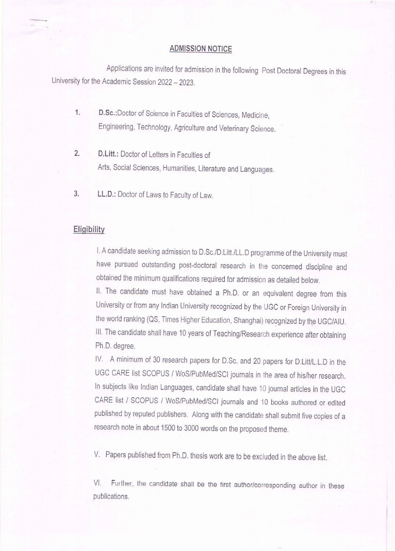# **ADMISSION NOTICE**

Applications are invited for admission in the following Post Doctoral Degrees in this University for the Academic Session 2022 - 2023.

D.Sc.: Doctor of Science in Faculties of Sciences, Medicine,  $1.$ Engineering, Technology, Agriculture and Veterinary Science.

 $2.$ D.Litt.: Doctor of Letters in Faculties of

Arts, Social Sciences, Humanities, Literature and Languages.

# LL.D.: Doctor of Laws to Faculty of Law. 3.

# **Eligibility**

I. A candidate seeking admission to D.Sc./D.Litt./LL.D programme of the University must have pursued outstanding post-doctoral research in the concerned discipline and obtained the minimum qualifications required for admission as detailed below.

II. The candidate must have obtained a Ph.D. or an equivalent degree from this University or from any Indian University recognized by the UGC or Foreign University in the world ranking (QS, Times Higher Education, Shanghai) recognized by the UGC/AIU. III. The candidate shall have 10 years of Teaching/Research experience after obtaining Ph.D. degree.

IV. A minimum of 30 research papers for D.Sc. and 20 papers for D.Litt/L.L.D in the UGC CARE list SCOPUS / WoS/PubMed/SCI journals in the area of his/her research. In subjects like Indian Languages, candidate shall have 10 journal articles in the UGC CARE list / SCOPUS / WoS/PubMed/SCI journals and 10 books authored or edited published by reputed publishers. Along with the candidate shall submit five copies of a

research note in about 1500 to 3000 words on the proposed theme.

V. Papers published from Ph.D. thesis work are to be excluded in the above list.

Further, the candidate shall be the first author/corresponding author in these VI. publications.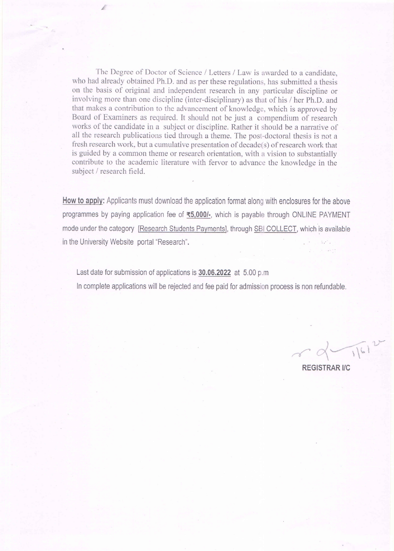The Degree of Doctor of Science / Letters / Law is awarded to a candidate, who had already obtained Ph.D. and as per these regulations, has submitted a thesis on the basis of original and independent research in any particular discipline or involving more than one discipline (inter-disciplinary) as that of his / her Ph.D. and that makes a contribution to the advancement of knowledge, which is approved by Board of Examiners as required. It should not be just a compendium of research works of the candidate in a subject or discipline. Rather it should be a narrative of all the research publications tied through a theme. The post-doctoral thesis is not a fresh research work, but a cumulative presentation of decade(s) of research work that is guided by a common theme or research orientation, with a vision to substantially contribute to the academic literature with fervor to advance the knowledge in the subject / research field.

How to apply: Applicants must download the application format along with enclosures for the above programmes by paying application fee of ₹5,000/-, which is payable through ONLINE PAYMENT mode under the category [Research Students Payments], through SBI COLLECT, which is available in the University Website portal "Research". a china a factores

Last date for submission of applications is 30.06.2022 at 5.00 p.m.

In complete applications will be rejected and fee paid for admission process is non refundable.

**REGISTRAR I/C** 

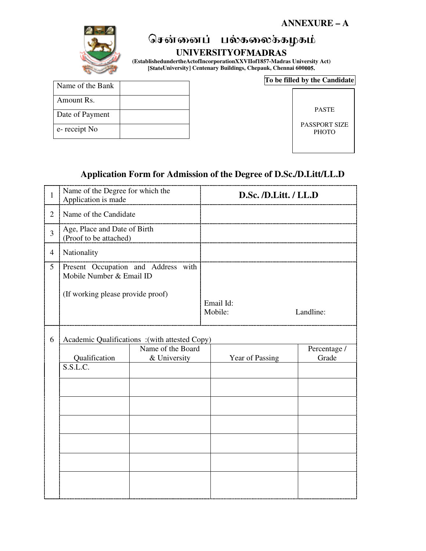

# சென்னைப் பல்கலைக்கழகம்

#### **UNIVERSITYOF**

**(EstablishedundertheActofIncorporationXXVIIof1857-Madras University Act) University] Centenary Buildings, Chepauk, Chennai 600**

| Name of the Bank |  |
|------------------|--|
| Amount Rs.       |  |
| Date of Payment  |  |
| e-receipt No     |  |

**To be filled by the Candidate**

PASTE PASSPORT SIZE **PHOTO** 

#### **Application Form for Admission of the Degree of D.Sc./D.Litt/LL.D**

| $\mathbf{1}$   | Name of the Degree for which the<br>Application is made                                              |                                               | D.Sc. /D.Litt. / LL.D  |              |
|----------------|------------------------------------------------------------------------------------------------------|-----------------------------------------------|------------------------|--------------|
| $\overline{2}$ | Name of the Candidate                                                                                |                                               |                        |              |
| 3              | Age, Place and Date of Birth<br>(Proof to be attached)                                               |                                               |                        |              |
| $\overline{4}$ | Nationality                                                                                          |                                               |                        |              |
| 5              | Present Occupation and Address with<br>Mobile Number & Email ID<br>(If working please provide proof) |                                               |                        |              |
|                |                                                                                                      |                                               | Email Id:<br>Mobile:   | Landline:    |
| 6              |                                                                                                      | Academic Qualifications :(with attested Copy) |                        |              |
|                |                                                                                                      | Name of the Board                             |                        | Percentage / |
|                | Qualification                                                                                        | & University                                  | <b>Year of Passing</b> | Grade        |
|                | S.S.L.C.                                                                                             |                                               |                        |              |
|                |                                                                                                      |                                               |                        |              |
|                |                                                                                                      |                                               |                        |              |
|                |                                                                                                      |                                               |                        |              |
|                |                                                                                                      |                                               |                        |              |
|                |                                                                                                      |                                               |                        |              |
|                |                                                                                                      |                                               |                        |              |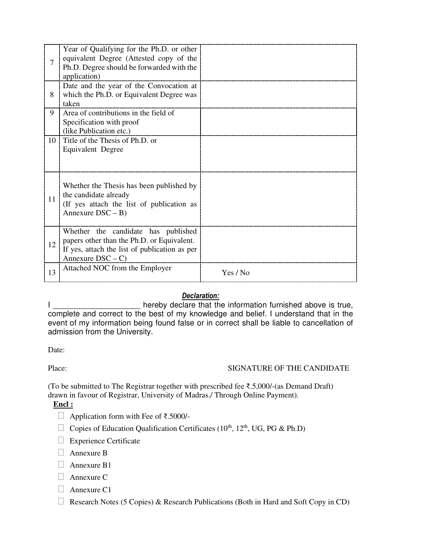|    | Year of Qualifying for the Ph.D. or other<br>equivalent Degree (Attested copy of the<br>Ph.D. Degree should be forwarded with the<br>application)        |          |
|----|----------------------------------------------------------------------------------------------------------------------------------------------------------|----------|
| 8  | Date and the year of the Convocation at<br>which the Ph.D. or Equivalent Degree was<br>taken                                                             |          |
| 9  | Area of contributions in the field of<br>Specification with proof<br>(like Publication etc.)                                                             |          |
| 10 | Title of the Thesis of Ph.D. or<br>Equivalent Degree                                                                                                     |          |
| 11 | Whether the Thesis has been published by<br>the candidate already<br>(If yes attach the list of publication as<br>Annexure $DSC - B$                     |          |
| 12 | Whether the candidate has published<br>papers other than the Ph.D. or Equivalent.<br>If yes, attach the list of publication as per<br>Annexure $DSC - C$ |          |
| 13 | Attached NOC from the Employer                                                                                                                           | Yes / No |

#### *Declaration:*

I \_\_\_\_\_\_\_\_\_\_\_\_\_\_\_\_\_\_\_\_\_\_ hereby declare that the information furnished above is true, complete and correct to the best of my knowledge and belief. I understand that in the event of my information being found false or in correct shall be liable to cancellation of admission from the University.

Date:

#### Place: SIGNATURE OF THE CANDIDATE

(To be submitted to The Registrar together with prescribed fee ₹.5,000/-(as Demand Draft) drawn in favour of Registrar, University of Madras./ Through Online Payment).

#### **Encl :**

Application form with Fee of ₹.5000/-

Copies of Education Qualification Certificates ( $10^{th}$ ,  $12^{th}$ , UG, PG & Ph.D)

Experience Certificate

Annexure B

Annexure B1

Annexure C

Annexure C1

Research Notes (5 Copies) & Research Publications (Both in Hard and Soft Copy in CD)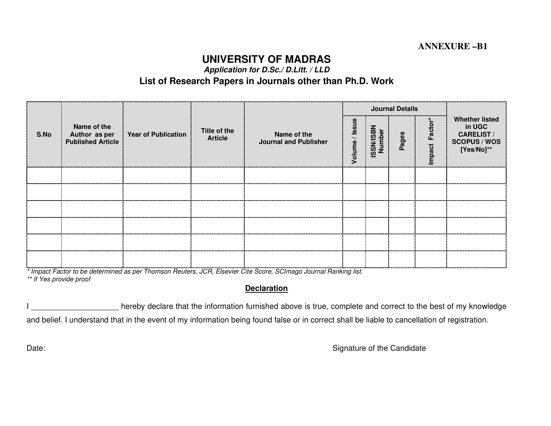## **UNIVERSITY OF MADRAS**

**Application for D.Sc./ D.Litt. / LLD** 

#### **List of Research Papers in Journals other than Ph.D. Work**

|      |                                                          |                            |                                |                                             |        |                            | <b>Journal Details</b> |                |                                                                                          |
|------|----------------------------------------------------------|----------------------------|--------------------------------|---------------------------------------------|--------|----------------------------|------------------------|----------------|------------------------------------------------------------------------------------------|
| S.No | Name of the<br>Author as per<br><b>Published Article</b> | <b>Year of Publication</b> | Title of the<br><b>Article</b> | Name of the<br><b>Journal and Publisher</b> | Volume | <b>ISSN/ISBN</b><br>Number | Pages                  | Factor<br>pact | <b>Whether listed</b><br>in UGC<br><b>CARELIST/</b><br><b>SCOPUS / WOS</b><br>[Yes/No]** |
|      |                                                          |                            |                                |                                             |        |                            |                        |                |                                                                                          |
|      |                                                          |                            |                                |                                             |        |                            |                        |                |                                                                                          |
|      |                                                          |                            |                                |                                             |        |                            |                        |                |                                                                                          |
|      |                                                          |                            |                                |                                             |        |                            |                        |                |                                                                                          |
|      |                                                          |                            |                                |                                             |        |                            |                        |                |                                                                                          |
|      |                                                          |                            |                                |                                             |        |                            |                        |                |                                                                                          |

\* Impact Factor to be determined as per Thomson Reuters, JCR, Elsevier Cite Score, SCImago Journal Ranking list.

\*\* If Yes provide proof

#### **Declaration**

Inereby declare that the information furnished above is true, complete and correct to the best of my knowledge and belief. I understand that in the event of my information being found false or in correct shall be liable to cancellation of registration.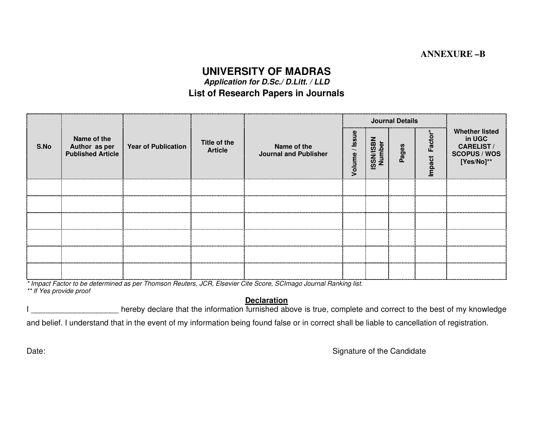#### **ANNEXURE –B**

#### **UNIVERSITY OF MADRAS**

**Application for D.Sc./ D.Litt. / LLD** 

#### **List of Research Papers in Journals**

|      |                                                          |                            |                                |                                             |                        |                            | Journal Details |                |                                                                                           |
|------|----------------------------------------------------------|----------------------------|--------------------------------|---------------------------------------------|------------------------|----------------------------|-----------------|----------------|-------------------------------------------------------------------------------------------|
| S.No | Name of the<br>Author as per<br><b>Published Article</b> | <b>Year of Publication</b> | Title of the<br><b>Article</b> | Name of the<br><b>Journal and Publisher</b> | <b>Issue</b><br>Volume | <b>ISSN/ISBN</b><br>Number | Pages           | Factor<br>pact | <b>Whether listed</b><br>in UGC<br><b>CARELIST /</b><br><b>SCOPUS / WOS</b><br>[Yes/No]** |
|      |                                                          |                            |                                |                                             |                        |                            |                 |                |                                                                                           |
|      |                                                          |                            |                                |                                             |                        |                            |                 |                |                                                                                           |
|      |                                                          |                            |                                |                                             |                        |                            |                 |                |                                                                                           |
|      |                                                          |                            |                                |                                             |                        |                            |                 |                |                                                                                           |
|      |                                                          |                            |                                |                                             |                        |                            |                 |                |                                                                                           |
|      |                                                          |                            |                                |                                             |                        |                            |                 |                |                                                                                           |

\* Impact Factor to be determined as per Thomson Reuters, JCR, Elsevier Cite Score, SCImago Journal Ranking list.

\*\* If Yes provide proof

#### **Declaration**

Inereby declare that the information furnished above is true, complete and correct to the best of my knowledge

and belief. I understand that in the event of my information being found false or in correct shall be liable to cancellation of registration.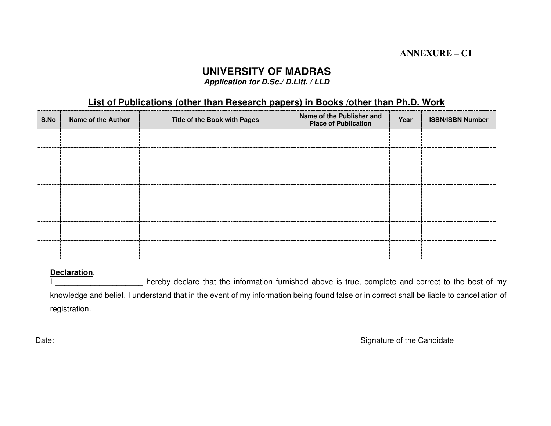#### **ANNEXURE – C1**

### **UNIVERSITY OF MADRAS**

**Application for D.Sc./ D.Litt. / LLD** 

#### **List of Publications (other than Research papers) in Books /other than Ph.D. Work**

| S.No | <b>Name of the Author</b> | Title of the Book with Pages | Name of the Publisher and<br><b>Place of Publication</b> | Year | <b>ISSN/ISBN Number</b> |
|------|---------------------------|------------------------------|----------------------------------------------------------|------|-------------------------|
|      |                           |                              |                                                          |      |                         |
|      |                           |                              |                                                          |      |                         |
|      |                           |                              |                                                          |      |                         |
|      |                           |                              |                                                          |      |                         |
|      |                           |                              |                                                          |      |                         |
|      |                           |                              |                                                          |      |                         |
|      |                           |                              |                                                          |      |                         |

#### **Declaration**.

hereby declare that the information furnished above is true, complete and correct to the best of my knowledge and belief. I understand that in the event of my information being found false or in correct shall be liable to cancellation of registration.